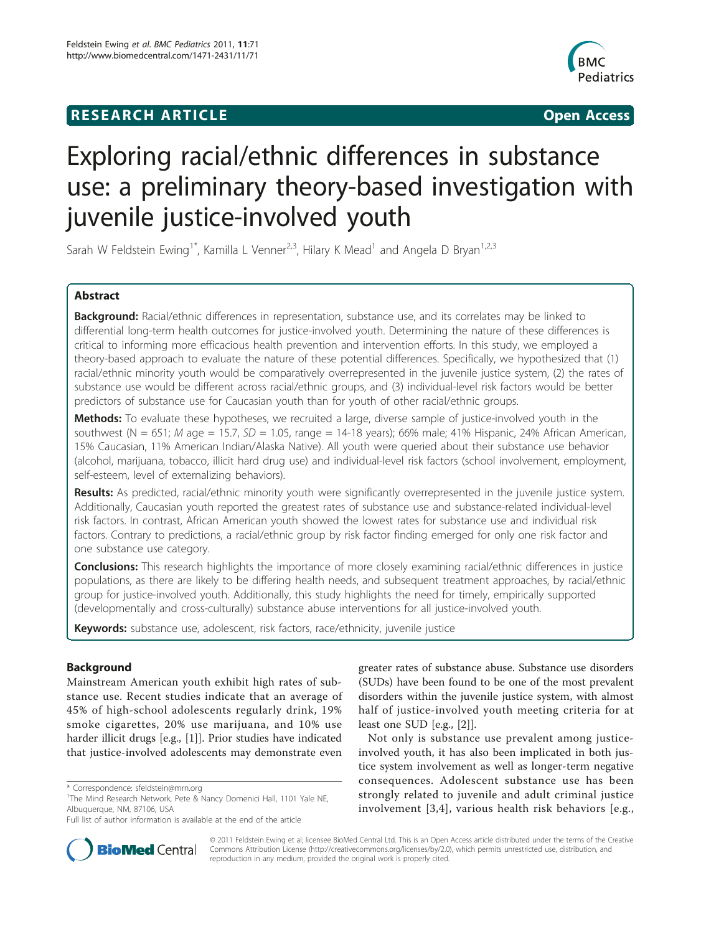## **RESEARCH ARTICLE Example 2018 12:00 Open Access**



# Exploring racial/ethnic differences in substance use: a preliminary theory-based investigation with juvenile justice-involved youth

Sarah W Feldstein Ewing<sup>1\*</sup>, Kamilla L Venner<sup>2,3</sup>, Hilary K Mead<sup>1</sup> and Angela D Bryan<sup>1,2,3</sup>

## Abstract

Background: Racial/ethnic differences in representation, substance use, and its correlates may be linked to differential long-term health outcomes for justice-involved youth. Determining the nature of these differences is critical to informing more efficacious health prevention and intervention efforts. In this study, we employed a theory-based approach to evaluate the nature of these potential differences. Specifically, we hypothesized that (1) racial/ethnic minority youth would be comparatively overrepresented in the juvenile justice system, (2) the rates of substance use would be different across racial/ethnic groups, and (3) individual-level risk factors would be better predictors of substance use for Caucasian youth than for youth of other racial/ethnic groups.

Methods: To evaluate these hypotheses, we recruited a large, diverse sample of justice-involved youth in the southwest (N = 651; M age = 15.7,  $SD = 1.05$ , range = 14-18 years); 66% male; 41% Hispanic, 24% African American, 15% Caucasian, 11% American Indian/Alaska Native). All youth were queried about their substance use behavior (alcohol, marijuana, tobacco, illicit hard drug use) and individual-level risk factors (school involvement, employment, self-esteem, level of externalizing behaviors).

Results: As predicted, racial/ethnic minority youth were significantly overrepresented in the juvenile justice system. Additionally, Caucasian youth reported the greatest rates of substance use and substance-related individual-level risk factors. In contrast, African American youth showed the lowest rates for substance use and individual risk factors. Contrary to predictions, a racial/ethnic group by risk factor finding emerged for only one risk factor and one substance use category.

Conclusions: This research highlights the importance of more closely examining racial/ethnic differences in justice populations, as there are likely to be differing health needs, and subsequent treatment approaches, by racial/ethnic group for justice-involved youth. Additionally, this study highlights the need for timely, empirically supported (developmentally and cross-culturally) substance abuse interventions for all justice-involved youth.

Keywords: substance use, adolescent, risk factors, race/ethnicity, juvenile justice

## Background

Mainstream American youth exhibit high rates of substance use. Recent studies indicate that an average of 45% of high-school adolescents regularly drink, 19% smoke cigarettes, 20% use marijuana, and 10% use harder illicit drugs [e.g., [\[1](#page-8-0)]]. Prior studies have indicated that justice-involved adolescents may demonstrate even



Not only is substance use prevalent among justiceinvolved youth, it has also been implicated in both justice system involvement as well as longer-term negative consequences. Adolescent substance use has been strongly related to juvenile and adult criminal justice involvement [[3,4](#page-8-0)], various health risk behaviors [e.g.,



© 2011 Feldstein Ewing et al; licensee BioMed Central Ltd. This is an Open Access article distributed under the terms of the Creative Commons Attribution License [\(http://creativecommons.org/licenses/by/2.0](http://creativecommons.org/licenses/by/2.0)), which permits unrestricted use, distribution, and reproduction in any medium, provided the original work is properly cited.

<sup>\*</sup> Correspondence: [sfeldstein@mrn.org](mailto:sfeldstein@mrn.org)

<sup>&</sup>lt;sup>1</sup>The Mind Research Network, Pete & Nancy Domenici Hall, 1101 Yale NE, Albuquerque, NM, 87106, USA

Full list of author information is available at the end of the article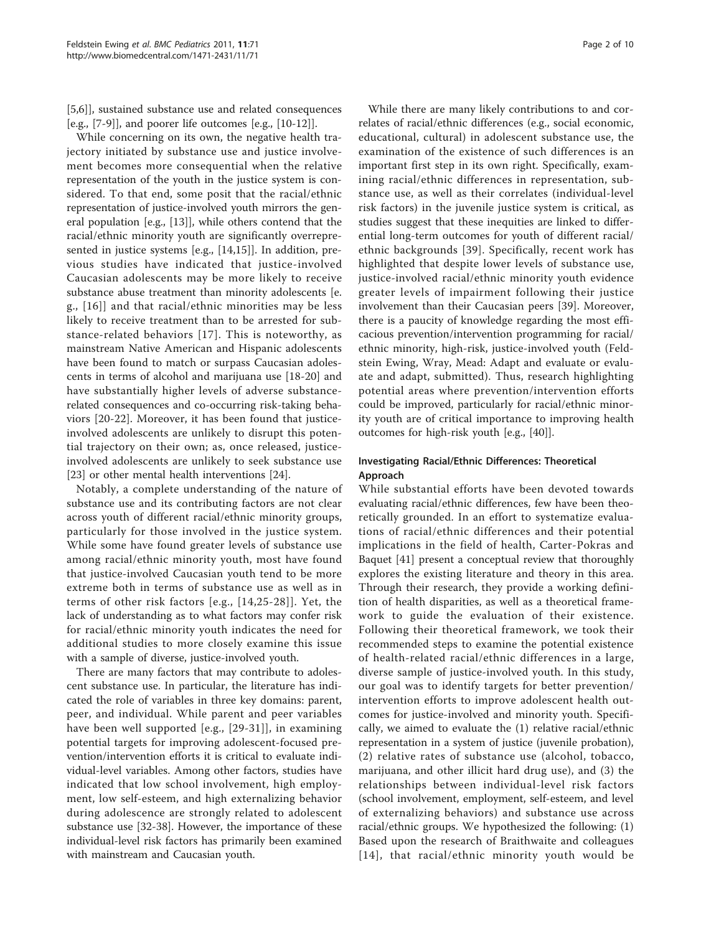[[5,6\]](#page-8-0)], sustained substance use and related consequences [e.g.,  $[7-9]$  $[7-9]$  $[7-9]$ ], and poorer life outcomes [e.g.,  $[10-12]$  $[10-12]$  $[10-12]$  $[10-12]$ ].

While concerning on its own, the negative health trajectory initiated by substance use and justice involvement becomes more consequential when the relative representation of the youth in the justice system is considered. To that end, some posit that the racial/ethnic representation of justice-involved youth mirrors the general population [e.g., [\[13\]](#page-8-0)], while others contend that the racial/ethnic minority youth are significantly overrepresented in justice systems [e.g., [\[14,15](#page-8-0)]]. In addition, previous studies have indicated that justice-involved Caucasian adolescents may be more likely to receive substance abuse treatment than minority adolescents [e. g., [[16\]](#page-8-0)] and that racial/ethnic minorities may be less likely to receive treatment than to be arrested for substance-related behaviors [\[17](#page-8-0)]. This is noteworthy, as mainstream Native American and Hispanic adolescents have been found to match or surpass Caucasian adolescents in terms of alcohol and marijuana use [[18-20\]](#page-8-0) and have substantially higher levels of adverse substancerelated consequences and co-occurring risk-taking behaviors [[20-22](#page-8-0)]. Moreover, it has been found that justiceinvolved adolescents are unlikely to disrupt this potential trajectory on their own; as, once released, justiceinvolved adolescents are unlikely to seek substance use [[23\]](#page-8-0) or other mental health interventions [[24\]](#page-8-0).

Notably, a complete understanding of the nature of substance use and its contributing factors are not clear across youth of different racial/ethnic minority groups, particularly for those involved in the justice system. While some have found greater levels of substance use among racial/ethnic minority youth, most have found that justice-involved Caucasian youth tend to be more extreme both in terms of substance use as well as in terms of other risk factors [e.g., [[14,25-28](#page-8-0)]]. Yet, the lack of understanding as to what factors may confer risk for racial/ethnic minority youth indicates the need for additional studies to more closely examine this issue with a sample of diverse, justice-involved youth.

There are many factors that may contribute to adolescent substance use. In particular, the literature has indicated the role of variables in three key domains: parent, peer, and individual. While parent and peer variables have been well supported [e.g., [[29-](#page-8-0)[31\]](#page-9-0)], in examining potential targets for improving adolescent-focused prevention/intervention efforts it is critical to evaluate individual-level variables. Among other factors, studies have indicated that low school involvement, high employment, low self-esteem, and high externalizing behavior during adolescence are strongly related to adolescent substance use [\[32](#page-9-0)-[38](#page-9-0)]. However, the importance of these individual-level risk factors has primarily been examined with mainstream and Caucasian youth.

While there are many likely contributions to and correlates of racial/ethnic differences (e.g., social economic, educational, cultural) in adolescent substance use, the examination of the existence of such differences is an important first step in its own right. Specifically, examining racial/ethnic differences in representation, substance use, as well as their correlates (individual-level risk factors) in the juvenile justice system is critical, as studies suggest that these inequities are linked to differential long-term outcomes for youth of different racial/ ethnic backgrounds [[39](#page-9-0)]. Specifically, recent work has highlighted that despite lower levels of substance use, justice-involved racial/ethnic minority youth evidence greater levels of impairment following their justice involvement than their Caucasian peers [\[39](#page-9-0)]. Moreover, there is a paucity of knowledge regarding the most efficacious prevention/intervention programming for racial/ ethnic minority, high-risk, justice-involved youth (Feldstein Ewing, Wray, Mead: Adapt and evaluate or evaluate and adapt, submitted). Thus, research highlighting potential areas where prevention/intervention efforts could be improved, particularly for racial/ethnic minority youth are of critical importance to improving health outcomes for high-risk youth [e.g., [[40\]](#page-9-0)].

## Investigating Racial/Ethnic Differences: Theoretical Approach

While substantial efforts have been devoted towards evaluating racial/ethnic differences, few have been theoretically grounded. In an effort to systematize evaluations of racial/ethnic differences and their potential implications in the field of health, Carter-Pokras and Baquet [[41](#page-9-0)] present a conceptual review that thoroughly explores the existing literature and theory in this area. Through their research, they provide a working definition of health disparities, as well as a theoretical framework to guide the evaluation of their existence. Following their theoretical framework, we took their recommended steps to examine the potential existence of health-related racial/ethnic differences in a large, diverse sample of justice-involved youth. In this study, our goal was to identify targets for better prevention/ intervention efforts to improve adolescent health outcomes for justice-involved and minority youth. Specifically, we aimed to evaluate the (1) relative racial/ethnic representation in a system of justice (juvenile probation), (2) relative rates of substance use (alcohol, tobacco, marijuana, and other illicit hard drug use), and (3) the relationships between individual-level risk factors (school involvement, employment, self-esteem, and level of externalizing behaviors) and substance use across racial/ethnic groups. We hypothesized the following: (1) Based upon the research of Braithwaite and colleagues [[14](#page-8-0)], that racial/ethnic minority youth would be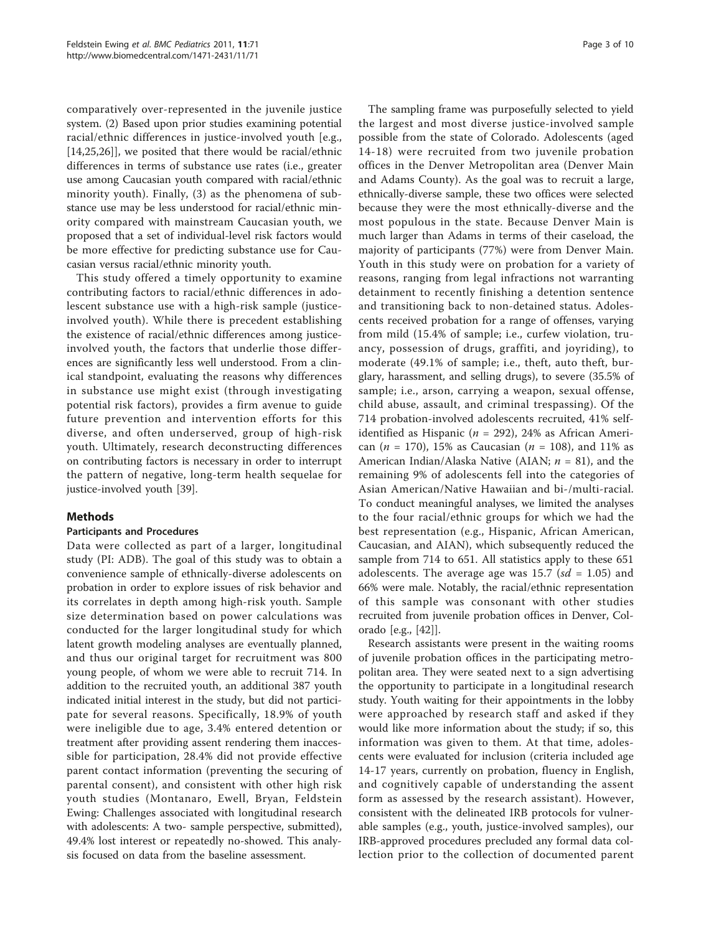comparatively over-represented in the juvenile justice system. (2) Based upon prior studies examining potential racial/ethnic differences in justice-involved youth [e.g., [[14,25,26\]](#page-8-0)], we posited that there would be racial/ethnic differences in terms of substance use rates (i.e., greater use among Caucasian youth compared with racial/ethnic minority youth). Finally, (3) as the phenomena of substance use may be less understood for racial/ethnic minority compared with mainstream Caucasian youth, we proposed that a set of individual-level risk factors would be more effective for predicting substance use for Caucasian versus racial/ethnic minority youth.

This study offered a timely opportunity to examine contributing factors to racial/ethnic differences in adolescent substance use with a high-risk sample (justiceinvolved youth). While there is precedent establishing the existence of racial/ethnic differences among justiceinvolved youth, the factors that underlie those differences are significantly less well understood. From a clinical standpoint, evaluating the reasons why differences in substance use might exist (through investigating potential risk factors), provides a firm avenue to guide future prevention and intervention efforts for this diverse, and often underserved, group of high-risk youth. Ultimately, research deconstructing differences on contributing factors is necessary in order to interrupt the pattern of negative, long-term health sequelae for justice-involved youth [\[39\]](#page-9-0).

## Methods

## Participants and Procedures

Data were collected as part of a larger, longitudinal study (PI: ADB). The goal of this study was to obtain a convenience sample of ethnically-diverse adolescents on probation in order to explore issues of risk behavior and its correlates in depth among high-risk youth. Sample size determination based on power calculations was conducted for the larger longitudinal study for which latent growth modeling analyses are eventually planned, and thus our original target for recruitment was 800 young people, of whom we were able to recruit 714. In addition to the recruited youth, an additional 387 youth indicated initial interest in the study, but did not participate for several reasons. Specifically, 18.9% of youth were ineligible due to age, 3.4% entered detention or treatment after providing assent rendering them inaccessible for participation, 28.4% did not provide effective parent contact information (preventing the securing of parental consent), and consistent with other high risk youth studies (Montanaro, Ewell, Bryan, Feldstein Ewing: Challenges associated with longitudinal research with adolescents: A two- sample perspective, submitted), 49.4% lost interest or repeatedly no-showed. This analysis focused on data from the baseline assessment.

The sampling frame was purposefully selected to yield the largest and most diverse justice-involved sample possible from the state of Colorado. Adolescents (aged 14-18) were recruited from two juvenile probation offices in the Denver Metropolitan area (Denver Main and Adams County). As the goal was to recruit a large, ethnically-diverse sample, these two offices were selected because they were the most ethnically-diverse and the most populous in the state. Because Denver Main is much larger than Adams in terms of their caseload, the majority of participants (77%) were from Denver Main. Youth in this study were on probation for a variety of reasons, ranging from legal infractions not warranting detainment to recently finishing a detention sentence and transitioning back to non-detained status. Adolescents received probation for a range of offenses, varying from mild (15.4% of sample; i.e., curfew violation, truancy, possession of drugs, graffiti, and joyriding), to moderate (49.1% of sample; i.e., theft, auto theft, burglary, harassment, and selling drugs), to severe (35.5% of sample; i.e., arson, carrying a weapon, sexual offense, child abuse, assault, and criminal trespassing). Of the 714 probation-involved adolescents recruited, 41% selfidentified as Hispanic ( $n = 292$ ), 24% as African American (*n* = 170), 15% as Caucasian (*n* = 108), and 11% as American Indian/Alaska Native (AIAN;  $n = 81$ ), and the remaining 9% of adolescents fell into the categories of Asian American/Native Hawaiian and bi-/multi-racial. To conduct meaningful analyses, we limited the analyses to the four racial/ethnic groups for which we had the best representation (e.g., Hispanic, African American, Caucasian, and AIAN), which subsequently reduced the sample from 714 to 651. All statistics apply to these 651 adolescents. The average age was 15.7 ( $sd = 1.05$ ) and 66% were male. Notably, the racial/ethnic representation of this sample was consonant with other studies recruited from juvenile probation offices in Denver, Colorado [e.g., [\[42](#page-9-0)]].

Research assistants were present in the waiting rooms of juvenile probation offices in the participating metropolitan area. They were seated next to a sign advertising the opportunity to participate in a longitudinal research study. Youth waiting for their appointments in the lobby were approached by research staff and asked if they would like more information about the study; if so, this information was given to them. At that time, adolescents were evaluated for inclusion (criteria included age 14-17 years, currently on probation, fluency in English, and cognitively capable of understanding the assent form as assessed by the research assistant). However, consistent with the delineated IRB protocols for vulnerable samples (e.g., youth, justice-involved samples), our IRB-approved procedures precluded any formal data collection prior to the collection of documented parent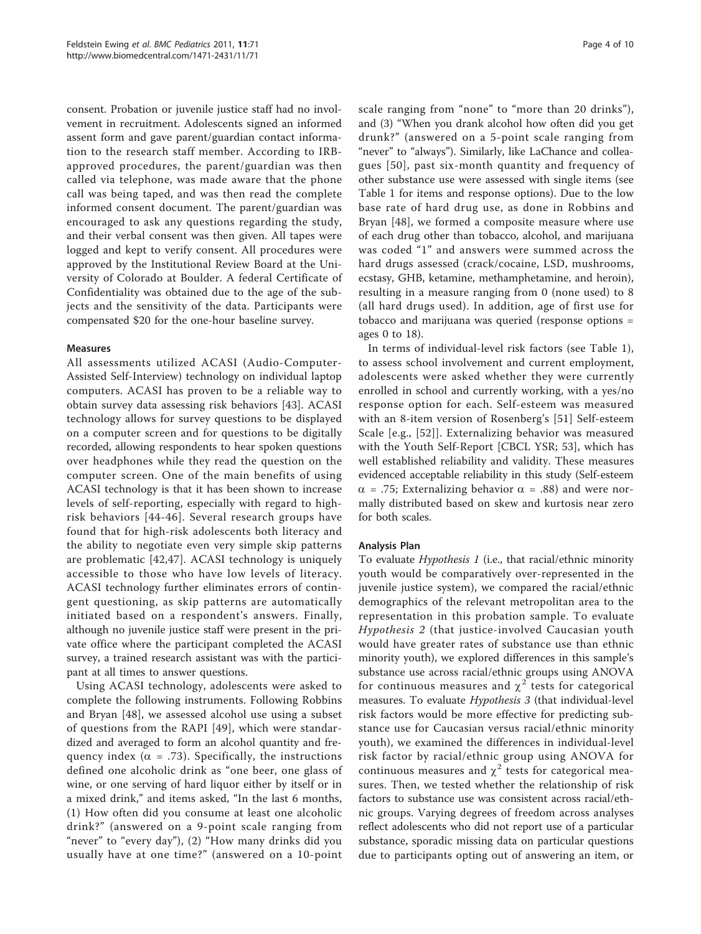consent. Probation or juvenile justice staff had no involvement in recruitment. Adolescents signed an informed assent form and gave parent/guardian contact information to the research staff member. According to IRBapproved procedures, the parent/guardian was then called via telephone, was made aware that the phone call was being taped, and was then read the complete informed consent document. The parent/guardian was encouraged to ask any questions regarding the study, and their verbal consent was then given. All tapes were logged and kept to verify consent. All procedures were approved by the Institutional Review Board at the University of Colorado at Boulder. A federal Certificate of Confidentiality was obtained due to the age of the subjects and the sensitivity of the data. Participants were compensated \$20 for the one-hour baseline survey.

#### Measures

All assessments utilized ACASI (Audio-Computer-Assisted Self-Interview) technology on individual laptop computers. ACASI has proven to be a reliable way to obtain survey data assessing risk behaviors [[43\]](#page-9-0). ACASI technology allows for survey questions to be displayed on a computer screen and for questions to be digitally recorded, allowing respondents to hear spoken questions over headphones while they read the question on the computer screen. One of the main benefits of using ACASI technology is that it has been shown to increase levels of self-reporting, especially with regard to highrisk behaviors [[44-46](#page-9-0)]. Several research groups have found that for high-risk adolescents both literacy and the ability to negotiate even very simple skip patterns are problematic [\[42](#page-9-0),[47\]](#page-9-0). ACASI technology is uniquely accessible to those who have low levels of literacy. ACASI technology further eliminates errors of contingent questioning, as skip patterns are automatically initiated based on a respondent's answers. Finally, although no juvenile justice staff were present in the private office where the participant completed the ACASI survey, a trained research assistant was with the participant at all times to answer questions.

Using ACASI technology, adolescents were asked to complete the following instruments. Following Robbins and Bryan [[48\]](#page-9-0), we assessed alcohol use using a subset of questions from the RAPI [\[49\]](#page-9-0), which were standardized and averaged to form an alcohol quantity and frequency index ( $\alpha$  = .73). Specifically, the instructions defined one alcoholic drink as "one beer, one glass of wine, or one serving of hard liquor either by itself or in a mixed drink," and items asked, "In the last 6 months, (1) How often did you consume at least one alcoholic drink?" (answered on a 9-point scale ranging from "never" to "every day"), (2) "How many drinks did you usually have at one time?" (answered on a 10-point scale ranging from "none" to "more than 20 drinks"), and (3) "When you drank alcohol how often did you get drunk?" (answered on a 5-point scale ranging from "never" to "always"). Similarly, like LaChance and colleagues [[50](#page-9-0)], past six-month quantity and frequency of other substance use were assessed with single items (see Table [1](#page-4-0) for items and response options). Due to the low base rate of hard drug use, as done in Robbins and Bryan [[48\]](#page-9-0), we formed a composite measure where use of each drug other than tobacco, alcohol, and marijuana was coded "1" and answers were summed across the hard drugs assessed (crack/cocaine, LSD, mushrooms, ecstasy, GHB, ketamine, methamphetamine, and heroin), resulting in a measure ranging from 0 (none used) to 8 (all hard drugs used). In addition, age of first use for tobacco and marijuana was queried (response options = ages 0 to 18).

In terms of individual-level risk factors (see Table [1](#page-4-0)), to assess school involvement and current employment, adolescents were asked whether they were currently enrolled in school and currently working, with a yes/no response option for each. Self-esteem was measured with an 8-item version of Rosenberg's [[51\]](#page-9-0) Self-esteem Scale [e.g., [[52\]](#page-9-0)]. Externalizing behavior was measured with the Youth Self-Report [CBCL YSR; 53], which has well established reliability and validity. These measures evidenced acceptable reliability in this study (Self-esteem  $\alpha$  = .75; Externalizing behavior  $\alpha$  = .88) and were normally distributed based on skew and kurtosis near zero for both scales.

## Analysis Plan

To evaluate Hypothesis 1 (i.e., that racial/ethnic minority youth would be comparatively over-represented in the juvenile justice system), we compared the racial/ethnic demographics of the relevant metropolitan area to the representation in this probation sample. To evaluate Hypothesis 2 (that justice-involved Caucasian youth would have greater rates of substance use than ethnic minority youth), we explored differences in this sample's substance use across racial/ethnic groups using ANOVA for continuous measures and  $\chi^2$  tests for categorical measures. To evaluate Hypothesis 3 (that individual-level risk factors would be more effective for predicting substance use for Caucasian versus racial/ethnic minority youth), we examined the differences in individual-level risk factor by racial/ethnic group using ANOVA for continuous measures and  $\chi^2$  tests for categorical measures. Then, we tested whether the relationship of risk factors to substance use was consistent across racial/ethnic groups. Varying degrees of freedom across analyses reflect adolescents who did not report use of a particular substance, sporadic missing data on particular questions due to participants opting out of answering an item, or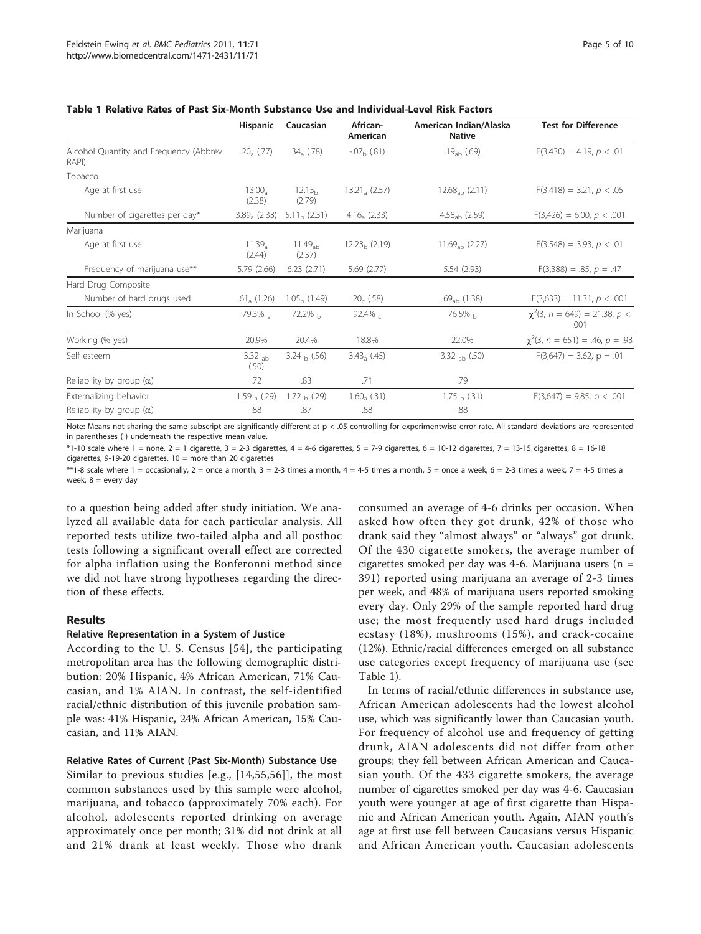|                                                  | <b>Hispanic</b>             | Caucasian                    | African-<br>American      | American Indian/Alaska<br><b>Native</b> | <b>Test for Difference</b>                |
|--------------------------------------------------|-----------------------------|------------------------------|---------------------------|-----------------------------------------|-------------------------------------------|
| Alcohol Quantity and Frequency (Abbrev.<br>RAPI) | $.20_{\rm a}$ (.77)         | $.34_{\rm a}$ (.78)          | $-0.07b$ (.81)            | $.19_{ab}$ (.69)                        | $F(3,430) = 4.19, p < .01$                |
| Tobacco                                          |                             |                              |                           |                                         |                                           |
| Age at first use                                 | $13.00_a$<br>(2.38)         | 12.15 <sub>b</sub><br>(2.79) | $13.21_{\text{a}}$ (2.57) | $12.68ab$ (2.11)                        | $F(3,418) = 3.21, p < .05$                |
| Number of cigarettes per day*                    | $3.89_a(2.33)$              | $5.11b$ (2.31)               | $4.16_{\rm a}$ (2.33)     | $4.58_{ab}$ (2.59)                      | $F(3,426) = 6.00, p < .001$               |
| Marijuana                                        |                             |                              |                           |                                         |                                           |
| Age at first use                                 | $11.39_a$<br>(2.44)         | $11.49_{\rm ab}$<br>(2.37)   | $12.23h$ (2.19)           | 11.69 <sub>ab</sub> (2.27)              | $F(3,548) = 3.93, p < .01$                |
| Frequency of marijuana use**                     | 5.79(2.66)                  | 6.23(2.71)                   | 5.69(2.77)                | 5.54(2.93)                              | $F(3,388) = .85, p = .47$                 |
| Hard Drug Composite                              |                             |                              |                           |                                         |                                           |
| Number of hard drugs used                        | $.61_{\text{a}}(1.26)$      | $1.05b$ (1.49)               | .20 <sub>c</sub> (.58)    | $69_{ab}$ (1.38)                        | $F(3,633) = 11.31, p < .001$              |
| In School (% yes)                                | 79.3% a                     | $72.2\%$ h                   | $92.4\%$                  | $76.5\%$ b                              | $\chi^2(3, n = 649) = 21.38, p <$<br>.001 |
| Working (% yes)                                  | 20.9%                       | 20.4%                        | 18.8%                     | 22.0%                                   | $\chi^2(3, n = 651) = .46, p = .93$       |
| Self esteem                                      | 3.32 <sub>ab</sub><br>(.50) | 3.24 b $(.56)$               | $3.43_{a}$ (.45)          | 3.32 ab $(.50)$                         | $F(3,647) = 3.62$ , $p = .01$             |
| Reliability by group $(\alpha)$                  | .72                         | .83                          | .71                       | .79                                     |                                           |
| Externalizing behavior                           | 1.59 $_2$ (.29)             | 1.72 b $(.29)$               | $1.60_a$ (.31)            | 1.75 $_b$ (.31)                         | $F(3,647) = 9.85$ , p < .001              |
| Reliability by group $(\alpha)$                  | .88                         | .87                          | .88                       | .88                                     |                                           |

<span id="page-4-0"></span>Table 1 Relative Rates of Past Six-Month Substance Use and Individual-Level Risk Factors

Note: Means not sharing the same subscript are significantly different at  $p < .05$  controlling for experimentwise error rate. All standard deviations are represented in parentheses ( ) underneath the respective mean value.

 $*1-10$  scale where  $1 =$  none,  $2 = 1$  cigarette,  $3 = 2-3$  cigarettes,  $4 = 4-6$  cigarettes,  $5 = 7-9$  cigarettes,  $6 = 10-12$  cigarettes,  $7 = 13-15$  cigarettes,  $8 = 16-18$ cigarettes, 9-19-20 cigarettes,  $10 =$  more than 20 cigarettes

\*\*1-8 scale where 1 = occasionally, 2 = once a month, 3 = 2-3 times a month, 4 = 4-5 times a month, 5 = once a week, 6 = 2-3 times a week, 7 = 4-5 times a week,  $8 =$  every day

to a question being added after study initiation. We analyzed all available data for each particular analysis. All reported tests utilize two-tailed alpha and all posthoc tests following a significant overall effect are corrected for alpha inflation using the Bonferonni method since we did not have strong hypotheses regarding the direction of these effects.

## Results

#### Relative Representation in a System of Justice

According to the U. S. Census [[54\]](#page-9-0), the participating metropolitan area has the following demographic distribution: 20% Hispanic, 4% African American, 71% Caucasian, and 1% AIAN. In contrast, the self-identified racial/ethnic distribution of this juvenile probation sample was: 41% Hispanic, 24% African American, 15% Caucasian, and 11% AIAN.

## Relative Rates of Current (Past Six-Month) Substance Use

Similar to previous studies [e.g., [[14](#page-8-0),[55,56\]](#page-9-0)], the most common substances used by this sample were alcohol, marijuana, and tobacco (approximately 70% each). For alcohol, adolescents reported drinking on average approximately once per month; 31% did not drink at all and 21% drank at least weekly. Those who drank

consumed an average of 4-6 drinks per occasion. When asked how often they got drunk, 42% of those who drank said they "almost always" or "always" got drunk. Of the 430 cigarette smokers, the average number of cigarettes smoked per day was 4-6. Marijuana users (n = 391) reported using marijuana an average of 2-3 times per week, and 48% of marijuana users reported smoking every day. Only 29% of the sample reported hard drug use; the most frequently used hard drugs included ecstasy (18%), mushrooms (15%), and crack-cocaine (12%). Ethnic/racial differences emerged on all substance use categories except frequency of marijuana use (see Table 1).

In terms of racial/ethnic differences in substance use, African American adolescents had the lowest alcohol use, which was significantly lower than Caucasian youth. For frequency of alcohol use and frequency of getting drunk, AIAN adolescents did not differ from other groups; they fell between African American and Caucasian youth. Of the 433 cigarette smokers, the average number of cigarettes smoked per day was 4-6. Caucasian youth were younger at age of first cigarette than Hispanic and African American youth. Again, AIAN youth's age at first use fell between Caucasians versus Hispanic and African American youth. Caucasian adolescents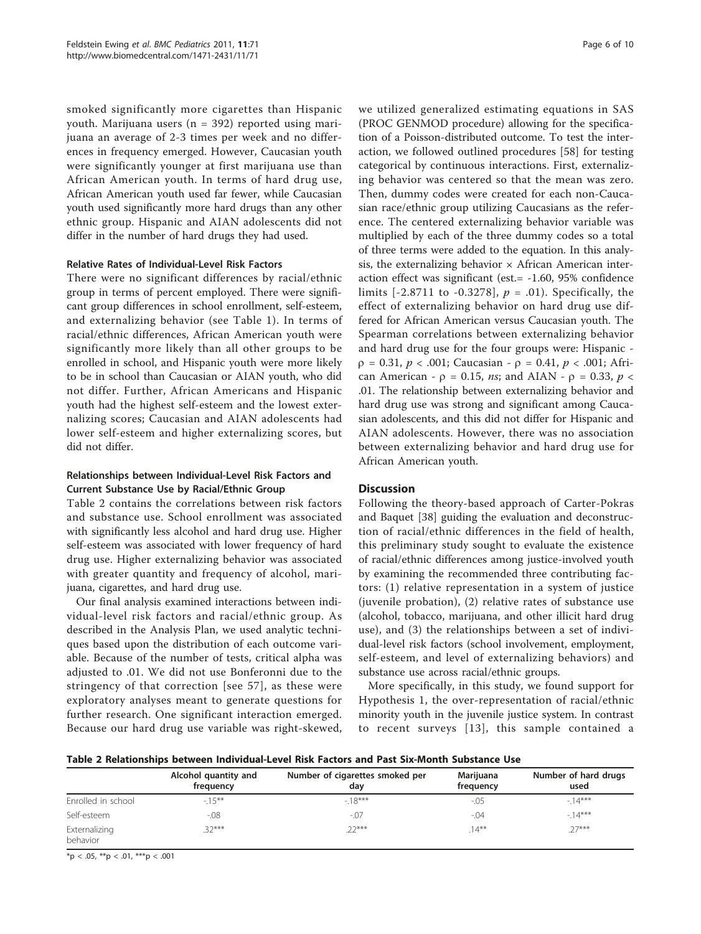smoked significantly more cigarettes than Hispanic youth. Marijuana users (n = 392) reported using marijuana an average of 2-3 times per week and no differences in frequency emerged. However, Caucasian youth were significantly younger at first marijuana use than African American youth. In terms of hard drug use, African American youth used far fewer, while Caucasian youth used significantly more hard drugs than any other ethnic group. Hispanic and AIAN adolescents did not differ in the number of hard drugs they had used.

#### Relative Rates of Individual-Level Risk Factors

There were no significant differences by racial/ethnic group in terms of percent employed. There were significant group differences in school enrollment, self-esteem, and externalizing behavior (see Table [1](#page-4-0)). In terms of racial/ethnic differences, African American youth were significantly more likely than all other groups to be enrolled in school, and Hispanic youth were more likely to be in school than Caucasian or AIAN youth, who did not differ. Further, African Americans and Hispanic youth had the highest self-esteem and the lowest externalizing scores; Caucasian and AIAN adolescents had lower self-esteem and higher externalizing scores, but did not differ.

## Relationships between Individual-Level Risk Factors and Current Substance Use by Racial/Ethnic Group

Table 2 contains the correlations between risk factors and substance use. School enrollment was associated with significantly less alcohol and hard drug use. Higher self-esteem was associated with lower frequency of hard drug use. Higher externalizing behavior was associated with greater quantity and frequency of alcohol, marijuana, cigarettes, and hard drug use.

Our final analysis examined interactions between individual-level risk factors and racial/ethnic group. As described in the Analysis Plan, we used analytic techniques based upon the distribution of each outcome variable. Because of the number of tests, critical alpha was adjusted to .01. We did not use Bonferonni due to the stringency of that correction [see 57], as these were exploratory analyses meant to generate questions for further research. One significant interaction emerged. Because our hard drug use variable was right-skewed,

we utilized generalized estimating equations in SAS (PROC GENMOD procedure) allowing for the specification of a Poisson-distributed outcome. To test the interaction, we followed outlined procedures [\[58](#page-9-0)] for testing categorical by continuous interactions. First, externalizing behavior was centered so that the mean was zero. Then, dummy codes were created for each non-Caucasian race/ethnic group utilizing Caucasians as the reference. The centered externalizing behavior variable was multiplied by each of the three dummy codes so a total of three terms were added to the equation. In this analysis, the externalizing behavior  $\times$  African American interaction effect was significant (est.= -1.60, 95% confidence limits [-2.8711 to -0.3278],  $p = .01$ ). Specifically, the effect of externalizing behavior on hard drug use differed for African American versus Caucasian youth. The Spearman correlations between externalizing behavior and hard drug use for the four groups were: Hispanic -  $\rho = 0.31, p < .001$ ; Caucasian -  $\rho = 0.41, p < .001$ ; African American -  $\rho = 0.15$ , *ns*; and AIAN -  $\rho = 0.33$ ,  $p <$ .01. The relationship between externalizing behavior and hard drug use was strong and significant among Caucasian adolescents, and this did not differ for Hispanic and AIAN adolescents. However, there was no association between externalizing behavior and hard drug use for African American youth.

## **Discussion**

Following the theory-based approach of Carter-Pokras and Baquet [\[38](#page-9-0)] guiding the evaluation and deconstruction of racial/ethnic differences in the field of health, this preliminary study sought to evaluate the existence of racial/ethnic differences among justice-involved youth by examining the recommended three contributing factors: (1) relative representation in a system of justice (juvenile probation), (2) relative rates of substance use (alcohol, tobacco, marijuana, and other illicit hard drug use), and (3) the relationships between a set of individual-level risk factors (school involvement, employment, self-esteem, and level of externalizing behaviors) and substance use across racial/ethnic groups.

More specifically, in this study, we found support for Hypothesis 1, the over-representation of racial/ethnic minority youth in the juvenile justice system. In contrast to recent surveys [[13](#page-8-0)], this sample contained a

Table 2 Relationships between Individual-Level Risk Factors and Past Six-Month Substance Use

|                           | Alcohol quantity and<br>frequency | Number of cigarettes smoked per<br>day | Marijuana<br>frequency | Number of hard drugs<br>used |
|---------------------------|-----------------------------------|----------------------------------------|------------------------|------------------------------|
| Enrolled in school        | $-15***$                          | $-18***$                               | $-.05$                 | $-14***$                     |
| Self-esteem               | $-0.08$                           | $-07$                                  | $-.04$                 | $-14***$                     |
| Externalizing<br>behavior | $32***$                           | $.22***$                               | $14***$                | $.27***$                     |

 $*$ p < .05,  $*$  $*$ p < .01,  $**$  $p$  < .001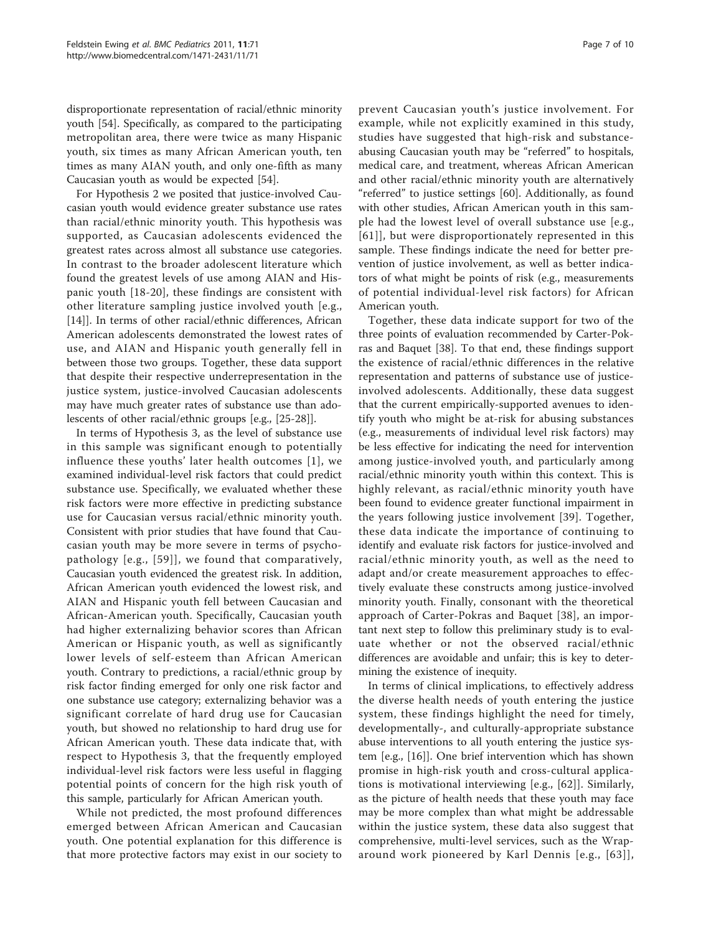disproportionate representation of racial/ethnic minority youth [[54](#page-9-0)]. Specifically, as compared to the participating metropolitan area, there were twice as many Hispanic youth, six times as many African American youth, ten times as many AIAN youth, and only one-fifth as many Caucasian youth as would be expected [[54\]](#page-9-0).

For Hypothesis 2 we posited that justice-involved Caucasian youth would evidence greater substance use rates than racial/ethnic minority youth. This hypothesis was supported, as Caucasian adolescents evidenced the greatest rates across almost all substance use categories. In contrast to the broader adolescent literature which found the greatest levels of use among AIAN and Hispanic youth [[18-20\]](#page-8-0), these findings are consistent with other literature sampling justice involved youth [e.g., [[14\]](#page-8-0)]. In terms of other racial/ethnic differences, African American adolescents demonstrated the lowest rates of use, and AIAN and Hispanic youth generally fell in between those two groups. Together, these data support that despite their respective underrepresentation in the justice system, justice-involved Caucasian adolescents may have much greater rates of substance use than adolescents of other racial/ethnic groups [e.g., [\[25](#page-8-0)-[28](#page-8-0)]].

In terms of Hypothesis 3, as the level of substance use in this sample was significant enough to potentially influence these youths' later health outcomes [[1](#page-8-0)], we examined individual-level risk factors that could predict substance use. Specifically, we evaluated whether these risk factors were more effective in predicting substance use for Caucasian versus racial/ethnic minority youth. Consistent with prior studies that have found that Caucasian youth may be more severe in terms of psychopathology [e.g., [[59](#page-9-0)]], we found that comparatively, Caucasian youth evidenced the greatest risk. In addition, African American youth evidenced the lowest risk, and AIAN and Hispanic youth fell between Caucasian and African-American youth. Specifically, Caucasian youth had higher externalizing behavior scores than African American or Hispanic youth, as well as significantly lower levels of self-esteem than African American youth. Contrary to predictions, a racial/ethnic group by risk factor finding emerged for only one risk factor and one substance use category; externalizing behavior was a significant correlate of hard drug use for Caucasian youth, but showed no relationship to hard drug use for African American youth. These data indicate that, with respect to Hypothesis 3, that the frequently employed individual-level risk factors were less useful in flagging potential points of concern for the high risk youth of this sample, particularly for African American youth.

While not predicted, the most profound differences emerged between African American and Caucasian youth. One potential explanation for this difference is that more protective factors may exist in our society to

prevent Caucasian youth's justice involvement. For example, while not explicitly examined in this study, studies have suggested that high-risk and substanceabusing Caucasian youth may be "referred" to hospitals, medical care, and treatment, whereas African American and other racial/ethnic minority youth are alternatively "referred" to justice settings [[60\]](#page-9-0). Additionally, as found with other studies, African American youth in this sample had the lowest level of overall substance use [e.g., [[61\]](#page-9-0)], but were disproportionately represented in this sample. These findings indicate the need for better prevention of justice involvement, as well as better indicators of what might be points of risk (e.g., measurements of potential individual-level risk factors) for African American youth.

Together, these data indicate support for two of the three points of evaluation recommended by Carter-Pokras and Baquet [\[38\]](#page-9-0). To that end, these findings support the existence of racial/ethnic differences in the relative representation and patterns of substance use of justiceinvolved adolescents. Additionally, these data suggest that the current empirically-supported avenues to identify youth who might be at-risk for abusing substances (e.g., measurements of individual level risk factors) may be less effective for indicating the need for intervention among justice-involved youth, and particularly among racial/ethnic minority youth within this context. This is highly relevant, as racial/ethnic minority youth have been found to evidence greater functional impairment in the years following justice involvement [[39\]](#page-9-0). Together, these data indicate the importance of continuing to identify and evaluate risk factors for justice-involved and racial/ethnic minority youth, as well as the need to adapt and/or create measurement approaches to effectively evaluate these constructs among justice-involved minority youth. Finally, consonant with the theoretical approach of Carter-Pokras and Baquet [[38\]](#page-9-0), an important next step to follow this preliminary study is to evaluate whether or not the observed racial/ethnic differences are avoidable and unfair; this is key to determining the existence of inequity.

In terms of clinical implications, to effectively address the diverse health needs of youth entering the justice system, these findings highlight the need for timely, developmentally-, and culturally-appropriate substance abuse interventions to all youth entering the justice system [e.g., [\[16](#page-8-0)]]. One brief intervention which has shown promise in high-risk youth and cross-cultural applications is motivational interviewing [e.g., [[62\]](#page-9-0)]. Similarly, as the picture of health needs that these youth may face may be more complex than what might be addressable within the justice system, these data also suggest that comprehensive, multi-level services, such as the Wraparound work pioneered by Karl Dennis [e.g., [[63](#page-9-0)]],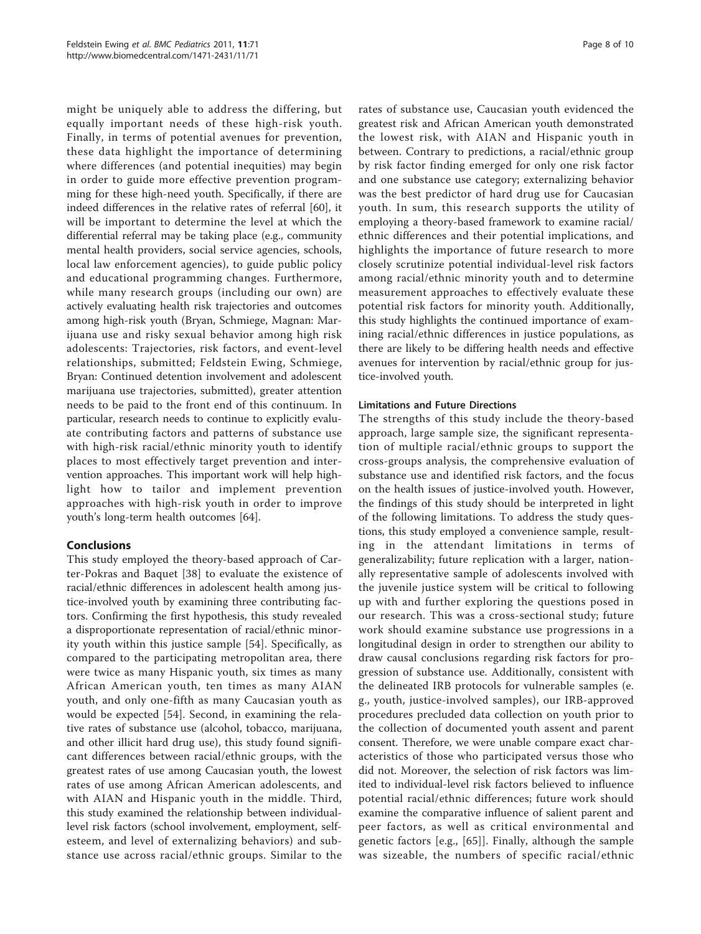might be uniquely able to address the differing, but equally important needs of these high-risk youth. Finally, in terms of potential avenues for prevention, these data highlight the importance of determining where differences (and potential inequities) may begin in order to guide more effective prevention programming for these high-need youth. Specifically, if there are indeed differences in the relative rates of referral [\[60](#page-9-0)], it will be important to determine the level at which the differential referral may be taking place (e.g., community mental health providers, social service agencies, schools, local law enforcement agencies), to guide public policy and educational programming changes. Furthermore, while many research groups (including our own) are actively evaluating health risk trajectories and outcomes among high-risk youth (Bryan, Schmiege, Magnan: Marijuana use and risky sexual behavior among high risk adolescents: Trajectories, risk factors, and event-level relationships, submitted; Feldstein Ewing, Schmiege, Bryan: Continued detention involvement and adolescent marijuana use trajectories, submitted), greater attention needs to be paid to the front end of this continuum. In particular, research needs to continue to explicitly evaluate contributing factors and patterns of substance use with high-risk racial/ethnic minority youth to identify places to most effectively target prevention and intervention approaches. This important work will help highlight how to tailor and implement prevention approaches with high-risk youth in order to improve youth's long-term health outcomes [[64](#page-9-0)].

## Conclusions

This study employed the theory-based approach of Carter-Pokras and Baquet [[38\]](#page-9-0) to evaluate the existence of racial/ethnic differences in adolescent health among justice-involved youth by examining three contributing factors. Confirming the first hypothesis, this study revealed a disproportionate representation of racial/ethnic minority youth within this justice sample [[54](#page-9-0)]. Specifically, as compared to the participating metropolitan area, there were twice as many Hispanic youth, six times as many African American youth, ten times as many AIAN youth, and only one-fifth as many Caucasian youth as would be expected [[54](#page-9-0)]. Second, in examining the relative rates of substance use (alcohol, tobacco, marijuana, and other illicit hard drug use), this study found significant differences between racial/ethnic groups, with the greatest rates of use among Caucasian youth, the lowest rates of use among African American adolescents, and with AIAN and Hispanic youth in the middle. Third, this study examined the relationship between individuallevel risk factors (school involvement, employment, selfesteem, and level of externalizing behaviors) and substance use across racial/ethnic groups. Similar to the

rates of substance use, Caucasian youth evidenced the greatest risk and African American youth demonstrated the lowest risk, with AIAN and Hispanic youth in between. Contrary to predictions, a racial/ethnic group by risk factor finding emerged for only one risk factor and one substance use category; externalizing behavior was the best predictor of hard drug use for Caucasian youth. In sum, this research supports the utility of employing a theory-based framework to examine racial/ ethnic differences and their potential implications, and highlights the importance of future research to more closely scrutinize potential individual-level risk factors among racial/ethnic minority youth and to determine measurement approaches to effectively evaluate these potential risk factors for minority youth. Additionally, this study highlights the continued importance of examining racial/ethnic differences in justice populations, as there are likely to be differing health needs and effective avenues for intervention by racial/ethnic group for justice-involved youth.

#### Limitations and Future Directions

The strengths of this study include the theory-based approach, large sample size, the significant representation of multiple racial/ethnic groups to support the cross-groups analysis, the comprehensive evaluation of substance use and identified risk factors, and the focus on the health issues of justice-involved youth. However, the findings of this study should be interpreted in light of the following limitations. To address the study questions, this study employed a convenience sample, resulting in the attendant limitations in terms of generalizability; future replication with a larger, nationally representative sample of adolescents involved with the juvenile justice system will be critical to following up with and further exploring the questions posed in our research. This was a cross-sectional study; future work should examine substance use progressions in a longitudinal design in order to strengthen our ability to draw causal conclusions regarding risk factors for progression of substance use. Additionally, consistent with the delineated IRB protocols for vulnerable samples (e. g., youth, justice-involved samples), our IRB-approved procedures precluded data collection on youth prior to the collection of documented youth assent and parent consent. Therefore, we were unable compare exact characteristics of those who participated versus those who did not. Moreover, the selection of risk factors was limited to individual-level risk factors believed to influence potential racial/ethnic differences; future work should examine the comparative influence of salient parent and peer factors, as well as critical environmental and genetic factors [e.g., [\[65](#page-9-0)]]. Finally, although the sample was sizeable, the numbers of specific racial/ethnic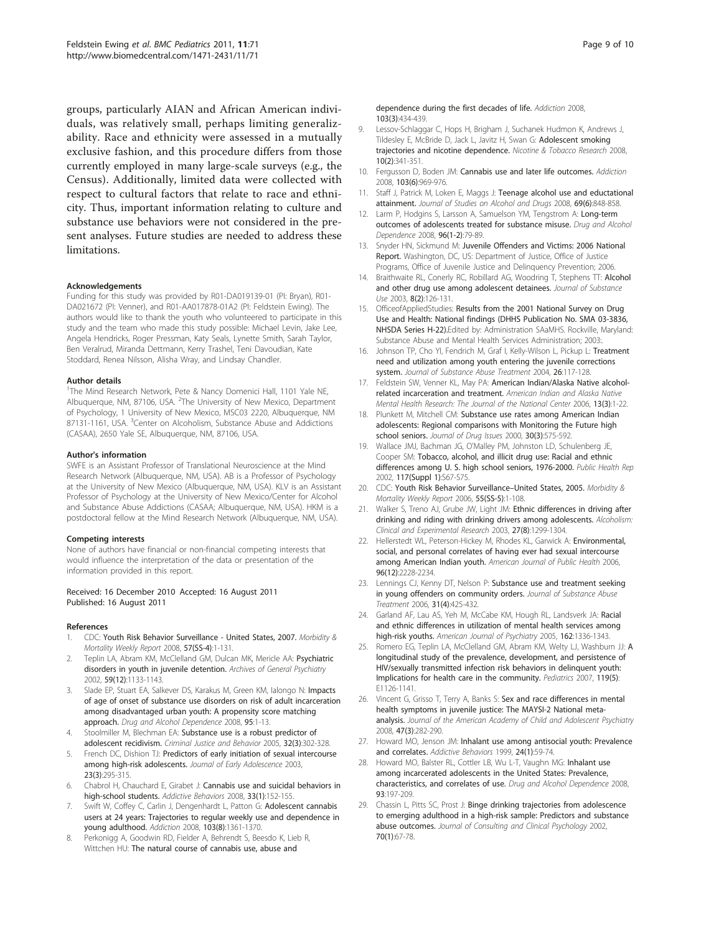<span id="page-8-0"></span>groups, particularly AIAN and African American individuals, was relatively small, perhaps limiting generalizability. Race and ethnicity were assessed in a mutually exclusive fashion, and this procedure differs from those currently employed in many large-scale surveys (e.g., the Census). Additionally, limited data were collected with respect to cultural factors that relate to race and ethnicity. Thus, important information relating to culture and substance use behaviors were not considered in the present analyses. Future studies are needed to address these limitations.

#### Acknowledgements

Funding for this study was provided by R01-DA019139-01 (PI: Bryan), R01- DA021672 (PI: Venner), and R01-AA017878-01A2 (PI: Feldstein Ewing). The authors would like to thank the youth who volunteered to participate in this study and the team who made this study possible: Michael Levin, Jake Lee, Angela Hendricks, Roger Pressman, Katy Seals, Lynette Smith, Sarah Taylor, Ben Veralrud, Miranda Dettmann, Kerry Trashel, Teni Davoudian, Kate Stoddard, Renea Nilsson, Alisha Wray, and Lindsay Chandler.

#### Author details

<sup>1</sup>The Mind Research Network, Pete & Nancy Domenici Hall, 1101 Yale NE, Albuquerque, NM, 87106, USA. <sup>2</sup>The University of New Mexico, Department of Psychology, 1 University of New Mexico, MSC03 2220, Albuquerque, NM 87131-1161, USA. <sup>3</sup>Center on Alcoholism, Substance Abuse and Addictions (CASAA), 2650 Yale SE, Albuquerque, NM, 87106, USA.

#### Author's information

SWFE is an Assistant Professor of Translational Neuroscience at the Mind Research Network (Albuquerque, NM, USA). AB is a Professor of Psychology at the University of New Mexico (Albuquerque, NM, USA). KLV is an Assistant Professor of Psychology at the University of New Mexico/Center for Alcohol and Substance Abuse Addictions (CASAA; Albuquerque, NM, USA). HKM is a postdoctoral fellow at the Mind Research Network (Albuquerque, NM, USA).

#### Competing interests

None of authors have financial or non-financial competing interests that would influence the interpretation of the data or presentation of the information provided in this report.

#### Received: 16 December 2010 Accepted: 16 August 2011 Published: 16 August 2011

#### References

- 1. CDC: [Youth Risk Behavior Surveillance United States, 2007.](http://www.ncbi.nlm.nih.gov/pubmed/21850700?dopt=Abstract) Morbidity & Mortality Weekly Report 2008, 57(SS-4):1-131.
- Teplin LA, Abram KM, McClelland GM, Dulcan MK, Mericle AA: [Psychiatric](http://www.ncbi.nlm.nih.gov/pubmed/12470130?dopt=Abstract) [disorders in youth in juvenile detention.](http://www.ncbi.nlm.nih.gov/pubmed/12470130?dopt=Abstract) Archives of General Psychiatry 2002, 59(12):1133-1143.
- Slade EP, Stuart EA, Salkever DS, Karakus M, Green KM, Ialongo N: [Impacts](http://www.ncbi.nlm.nih.gov/pubmed/18242006?dopt=Abstract) [of age of onset of substance use disorders on risk of adult incarceration](http://www.ncbi.nlm.nih.gov/pubmed/18242006?dopt=Abstract) [among disadvantaged urban youth: A propensity score matching](http://www.ncbi.nlm.nih.gov/pubmed/18242006?dopt=Abstract) [approach.](http://www.ncbi.nlm.nih.gov/pubmed/18242006?dopt=Abstract) Drug and Alcohol Dependence 2008, 95:1-13.
- 4. Stoolmiller M, Blechman EA: Substance use is a robust predictor of adolescent recidivism. Criminal Justice and Behavior 2005, 32(3):302-328.
- French DC, Dishion TJ: Predictors of early initiation of sexual intercourse among high-risk adolescents. Journal of Early Adolescence 2003, 23(3):295-315.
- 6. Chabrol H, Chauchard E, Girabet J: [Cannabis use and suicidal behaviors in](http://www.ncbi.nlm.nih.gov/pubmed/17537584?dopt=Abstract) [high-school students.](http://www.ncbi.nlm.nih.gov/pubmed/17537584?dopt=Abstract) Addictive Behaviors 2008, 33(1):152-155.
- 7. Swift W, Coffey C, Carlin J, Dengenhardt L, Patton G: [Adolescent cannabis](http://www.ncbi.nlm.nih.gov/pubmed/18855826?dopt=Abstract) [users at 24 years: Trajectories to regular weekly use and dependence in](http://www.ncbi.nlm.nih.gov/pubmed/18855826?dopt=Abstract) [young adulthood.](http://www.ncbi.nlm.nih.gov/pubmed/18855826?dopt=Abstract) Addiction 2008, 103(8):1361-1370.
- 8. Perkonigg A, Goodwin RD, Fielder A, Behrendt S, Beesdo K, Lieb R, Wittchen HU: The natural course of cannabis use, abuse and

dependence during the first decades of life. Addiction 2008, 103(3):434-439.

- 9. Lessov-Schlaggar C, Hops H, Brigham J, Suchanek Hudmon K, Andrews J, Tildesley E, McBride D, Jack L, Javitz H, Swan G: [Adolescent smoking](http://www.ncbi.nlm.nih.gov/pubmed/21850514?dopt=Abstract) [trajectories and nicotine dependence.](http://www.ncbi.nlm.nih.gov/pubmed/21850514?dopt=Abstract) Nicotine & Tobacco Research 2008, 10(2):341-351.
- 10. Fergusson D, Boden JM: [Cannabis use and later life outcomes.](http://www.ncbi.nlm.nih.gov/pubmed/18482420?dopt=Abstract) Addiction 2008, 103(6):969-976.
- 11. Staff J, Patrick M, Loken E, Maggs J: [Teenage alcohol use and eductational](http://www.ncbi.nlm.nih.gov/pubmed/18925343?dopt=Abstract) [attainment.](http://www.ncbi.nlm.nih.gov/pubmed/18925343?dopt=Abstract) Journal of Studies on Alcohol and Drugs 2008, 69(6):848-858.
- 12. Larm P, Hodgins S, Larsson A, Samuelson YM, Tengstrom A: [Long-term](http://www.ncbi.nlm.nih.gov/pubmed/18375076?dopt=Abstract) [outcomes of adolescents treated for substance misuse.](http://www.ncbi.nlm.nih.gov/pubmed/18375076?dopt=Abstract) Drug and Alcohol Dependence 2008, 96(1-2):79-89.
- 13. Snyder HN, Sickmund M: Juvenile Offenders and Victims: 2006 National Report. Washington, DC, US: Department of Justice, Office of Justice Programs, Office of Juvenile Justice and Delinquency Prevention; 2006.
- 14. Braithwaite RL, Conerly RC, Robillard AG, Woodring T, Stephens TT: Alcohol and other drug use among adolescent detainees. Journal of Substance Use 2003, 8(2):126-131.
- 15. OfficeofAppliedStudies: Results from the 2001 National Survey on Drug Use and Health: National findings (DHHS Publication No. SMA 03-3836, NHSDA Series H-22).Edited by: Administration SAaMHS. Rockville, Maryland: Substance Abuse and Mental Health Services Administration; 2003:.
- 16. Johnson TP, Cho YI, Fendrich M, Graf I, Kelly-Wilson L, Pickup L: [Treatment](http://www.ncbi.nlm.nih.gov/pubmed/15050089?dopt=Abstract) [need and utilization among youth entering the juvenile corrections](http://www.ncbi.nlm.nih.gov/pubmed/15050089?dopt=Abstract) [system.](http://www.ncbi.nlm.nih.gov/pubmed/15050089?dopt=Abstract) Journal of Substance Abuse Treatment 2004, 26:117-128.
- 17. Feldstein SW, Venner KL, May PA: American Indian/Alaska Native alcoholrelated incarceration and treatment. American Indian and Alaska Native Mental Health Research: The Journal of the National Center 2006, 13(3):1-22.
- 18. Plunkett M, Mitchell CM: Substance use rates among American Indian adolescents: Regional comparisons with Monitoring the Future high school seniors. Journal of Drug Issues 2000, 30(3):575-592.
- 19. Wallace JMJ, Bachman JG, O'Malley PM, Johnston LD, Schulenberg JE, Cooper SM: [Tobacco, alcohol, and illicit drug use: Racial and ethnic](http://www.ncbi.nlm.nih.gov/pubmed/12435829?dopt=Abstract) [differences among U. S. high school seniors, 1976-2000.](http://www.ncbi.nlm.nih.gov/pubmed/12435829?dopt=Abstract) Public Health Rep 2002, 117(Suppl 1):S67-S75.
- 20. CDC: [Youth Risk Behavior Surveillance](http://www.ncbi.nlm.nih.gov/pubmed/21850700?dopt=Abstract)-United States, 2005. Morbidity & Mortality Weekly Report 2006, 55(SS-5):1-108.
- 21. Walker S, Treno AJ, Grube JW, Light JM: Ethnic differences in driving after drinking and riding with drinking drivers among adolescents. Alcoholism: Clinical and Experimental Research 2003, 27(8):1299-1304.
- 22. Hellerstedt WL, Peterson-Hickey M, Rhodes KL, Garwick A: [Environmental,](http://www.ncbi.nlm.nih.gov/pubmed/17077401?dopt=Abstract) [social, and personal correlates of having ever had sexual intercourse](http://www.ncbi.nlm.nih.gov/pubmed/17077401?dopt=Abstract) [among American Indian youth.](http://www.ncbi.nlm.nih.gov/pubmed/17077401?dopt=Abstract) American Journal of Public Health 2006, 96(12):2228-2234.
- 23. Lennings CJ, Kenny DT, Nelson P: [Substance use and treatment seeking](http://www.ncbi.nlm.nih.gov/pubmed/17084797?dopt=Abstract) [in young offenders on community orders.](http://www.ncbi.nlm.nih.gov/pubmed/17084797?dopt=Abstract) Journal of Substance Abuse Treatment 2006, 31(4):425-432.
- 24. Garland AF, Lau AS, Yeh M, McCabe KM, Hough RL, Landsverk JA: [Racial](http://www.ncbi.nlm.nih.gov/pubmed/15994717?dopt=Abstract) [and ethnic differences in utilization of mental health services among](http://www.ncbi.nlm.nih.gov/pubmed/15994717?dopt=Abstract) [high-risk youths.](http://www.ncbi.nlm.nih.gov/pubmed/15994717?dopt=Abstract) American Journal of Psychiatry 2005, 162:1336-1343.
- 25. Romero EG, Teplin LA, McClelland GM, Abram KM, Welty LJ, Washburn JJ: [A](http://www.ncbi.nlm.nih.gov/pubmed/17473083?dopt=Abstract) [longitudinal study of the prevalence, development, and persistence of](http://www.ncbi.nlm.nih.gov/pubmed/17473083?dopt=Abstract) [HIV/sexually transmitted infection risk behaviors in delinquent youth:](http://www.ncbi.nlm.nih.gov/pubmed/17473083?dopt=Abstract) [Implications for health care in the community.](http://www.ncbi.nlm.nih.gov/pubmed/17473083?dopt=Abstract) Pediatrics 2007, 119(5): E1126-1141.
- 26. Vincent G, Grisso T, Terry A, Banks S: [Sex and race differences in mental](http://www.ncbi.nlm.nih.gov/pubmed/18216730?dopt=Abstract) [health symptoms in juvenile justice: The MAYSI-2 National meta](http://www.ncbi.nlm.nih.gov/pubmed/18216730?dopt=Abstract)[analysis.](http://www.ncbi.nlm.nih.gov/pubmed/18216730?dopt=Abstract) Journal of the American Academy of Child and Adolescent Psychiatry 2008, 47(3):282-290.
- 27. Howard MO, Jenson JM: [Inhalant use among antisocial youth: Prevalence](http://www.ncbi.nlm.nih.gov/pubmed/10189973?dopt=Abstract) [and correlates.](http://www.ncbi.nlm.nih.gov/pubmed/10189973?dopt=Abstract) Addictive Behaviors 1999, 24(1):59-74.
- 28. Howard MO, Balster RL, Cottler LB, Wu L-T, Vaughn MG: [Inhalant](http://www.ncbi.nlm.nih.gov/pubmed/17983710?dopt=Abstract) use [among incarcerated adolescents in the United States: Prevalence,](http://www.ncbi.nlm.nih.gov/pubmed/17983710?dopt=Abstract) [characteristics, and correlates of use.](http://www.ncbi.nlm.nih.gov/pubmed/17983710?dopt=Abstract) Drug and Alcohol Dependence 2008, 93:197-209.
- 29. Chassin L, Pitts SC, Prost J: [Binge drinking trajectories from adolescence](http://www.ncbi.nlm.nih.gov/pubmed/11860058?dopt=Abstract) [to emerging adulthood in a high-risk sample: Predictors and substance](http://www.ncbi.nlm.nih.gov/pubmed/11860058?dopt=Abstract) [abuse outcomes.](http://www.ncbi.nlm.nih.gov/pubmed/11860058?dopt=Abstract) Journal of Consulting and Clinical Psychology 2002, 70(1):67-78.